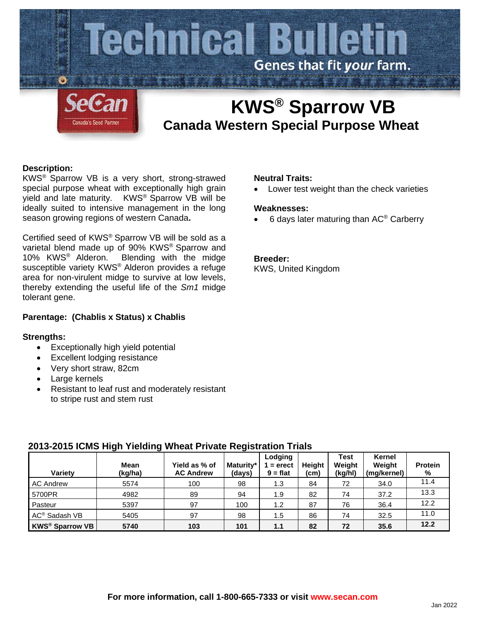

# **KWS® Sparrow VB Canada Western Special Purpose Wheat**

## **Description:**

KWS® Sparrow VB is a very short, strong-strawed special purpose wheat with exceptionally high grain yield and late maturity. KWS® Sparrow VB will be ideally suited to intensive management in the long season growing regions of western Canada**.**

Certified seed of KWS® Sparrow VB will be sold as a varietal blend made up of 90% KWS® Sparrow and 10% KWS® Alderon. Blending with the midge susceptible variety KWS® Alderon provides a refuge area for non-virulent midge to survive at low levels, thereby extending the useful life of the *Sm1* midge tolerant gene.

# **Parentage: (Chablis x Status) x Chablis**

## **Strengths:**

- Exceptionally high yield potential
- **Excellent lodging resistance**
- Very short straw, 82cm
- Large kernels
- Resistant to leaf rust and moderately resistant to stripe rust and stem rust

## **Neutral Traits:**

• Lower test weight than the check varieties

#### **Weaknesses:**

• 6 days later maturing than AC® Carberry

#### **Breeder:**

KWS, United Kingdom

| <b>Varietv</b>            | Mean<br>(kg/ha) | Yield as % of<br><b>AC Andrew</b> | Maturity*<br>(days) | Lodging<br>$=$ erect<br>$9 = flat$ | <b>Height</b><br>(cm | <b>Test</b><br>Weiaht<br>(kg/hl) | Kernel<br>Weight<br>(mg/kernel) | <b>Protein</b><br>% |
|---------------------------|-----------------|-----------------------------------|---------------------|------------------------------------|----------------------|----------------------------------|---------------------------------|---------------------|
| <b>AC Andrew</b>          | 5574            | 100                               | 98                  | 1.3                                | 84                   | 72                               | 34.0                            | 11.4                |
| 5700PR                    | 4982            | 89                                | 94                  | 1.9                                | 82                   | 74                               | 37.2                            | 13.3                |
| Pasteur                   | 5397            | 97                                | 100                 | 1.2                                | 87                   | 76                               | 36.4                            | 12.2                |
| AC <sup>®</sup> Sadash VB | 5405            | 97                                | 98                  | 1.5                                | 86                   | 74                               | 32.5                            | 11.0                |
| <b>KWS® Sparrow VB</b>    | 5740            | 103                               | 101                 | 1.1                                | 82                   | 72                               | 35.6                            | 12.2                |

# **2013-2015 ICMS High Yielding Wheat Private Registration Trials**